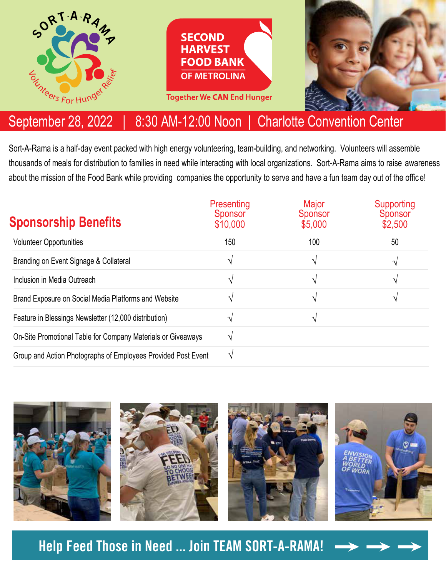

## September 28, 2022 | 8:30 AM-12:00 Noon | Charlotte Convention Center

Sort-A-Rama is a half-day event packed with high energy volunteering, team-building, and networking. Volunteers will assemble thousands of meals for distribution to families in need while interacting with local organizations. Sort-A-Rama aims to raise awareness about the mission of the Food Bank while providing companies the opportunity to serve and have a fun team day out of the office!

| <b>Sponsorship Benefits</b>                                   | Presenting<br><b>Sponsor</b><br>\$10,000 | Major<br><b>Sponsor</b><br>\$5,000 | Supporting<br>Sponsor<br>\$2,500 |
|---------------------------------------------------------------|------------------------------------------|------------------------------------|----------------------------------|
| <b>Volunteer Opportunities</b>                                | 150                                      | 100                                | 50                               |
| Branding on Event Signage & Collateral                        | ٦                                        | ٦                                  | $\mathcal{N}$                    |
| Inclusion in Media Outreach                                   |                                          | ٦                                  | $\mathcal{N}$                    |
| Brand Exposure on Social Media Platforms and Website          |                                          | ٦                                  | ٦1                               |
| Feature in Blessings Newsletter (12,000 distribution)         |                                          | ٦                                  |                                  |
| On-Site Promotional Table for Company Materials or Giveaways  |                                          |                                    |                                  |
| Group and Action Photographs of Employees Provided Post Event |                                          |                                    |                                  |



**Help Feed Those in Need ... Join TEAM SORT-A-RAMA!**